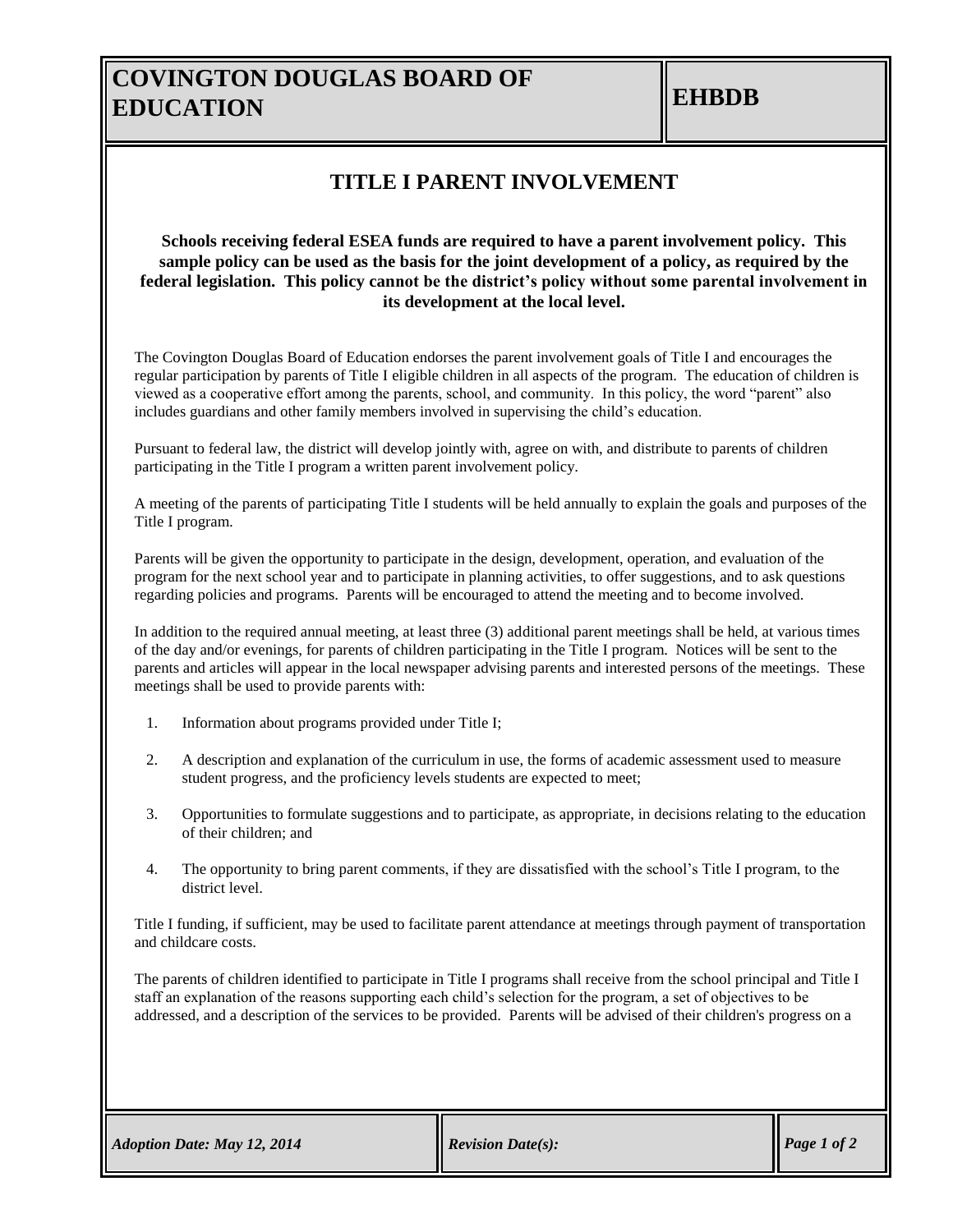## **COVINGTON DOUGLAS BOARD OF EDUCATION**

### **TITLE I PARENT INVOLVEMENT**

#### **Schools receiving federal ESEA funds are required to have a parent involvement policy. This sample policy can be used as the basis for the joint development of a policy, as required by the federal legislation. This policy cannot be the district's policy without some parental involvement in its development at the local level.**

The Covington Douglas Board of Education endorses the parent involvement goals of Title I and encourages the regular participation by parents of Title I eligible children in all aspects of the program. The education of children is viewed as a cooperative effort among the parents, school, and community. In this policy, the word "parent" also includes guardians and other family members involved in supervising the child's education.

Pursuant to federal law, the district will develop jointly with, agree on with, and distribute to parents of children participating in the Title I program a written parent involvement policy.

A meeting of the parents of participating Title I students will be held annually to explain the goals and purposes of the Title I program.

Parents will be given the opportunity to participate in the design, development, operation, and evaluation of the program for the next school year and to participate in planning activities, to offer suggestions, and to ask questions regarding policies and programs. Parents will be encouraged to attend the meeting and to become involved.

In addition to the required annual meeting, at least three (3) additional parent meetings shall be held, at various times of the day and/or evenings, for parents of children participating in the Title I program. Notices will be sent to the parents and articles will appear in the local newspaper advising parents and interested persons of the meetings. These meetings shall be used to provide parents with:

- 1. Information about programs provided under Title I;
- 2. A description and explanation of the curriculum in use, the forms of academic assessment used to measure student progress, and the proficiency levels students are expected to meet;
- 3. Opportunities to formulate suggestions and to participate, as appropriate, in decisions relating to the education of their children; and
- 4. The opportunity to bring parent comments, if they are dissatisfied with the school's Title I program, to the district level.

Title I funding, if sufficient, may be used to facilitate parent attendance at meetings through payment of transportation and childcare costs.

The parents of children identified to participate in Title I programs shall receive from the school principal and Title I staff an explanation of the reasons supporting each child's selection for the program, a set of objectives to be addressed, and a description of the services to be provided. Parents will be advised of their children's progress on a